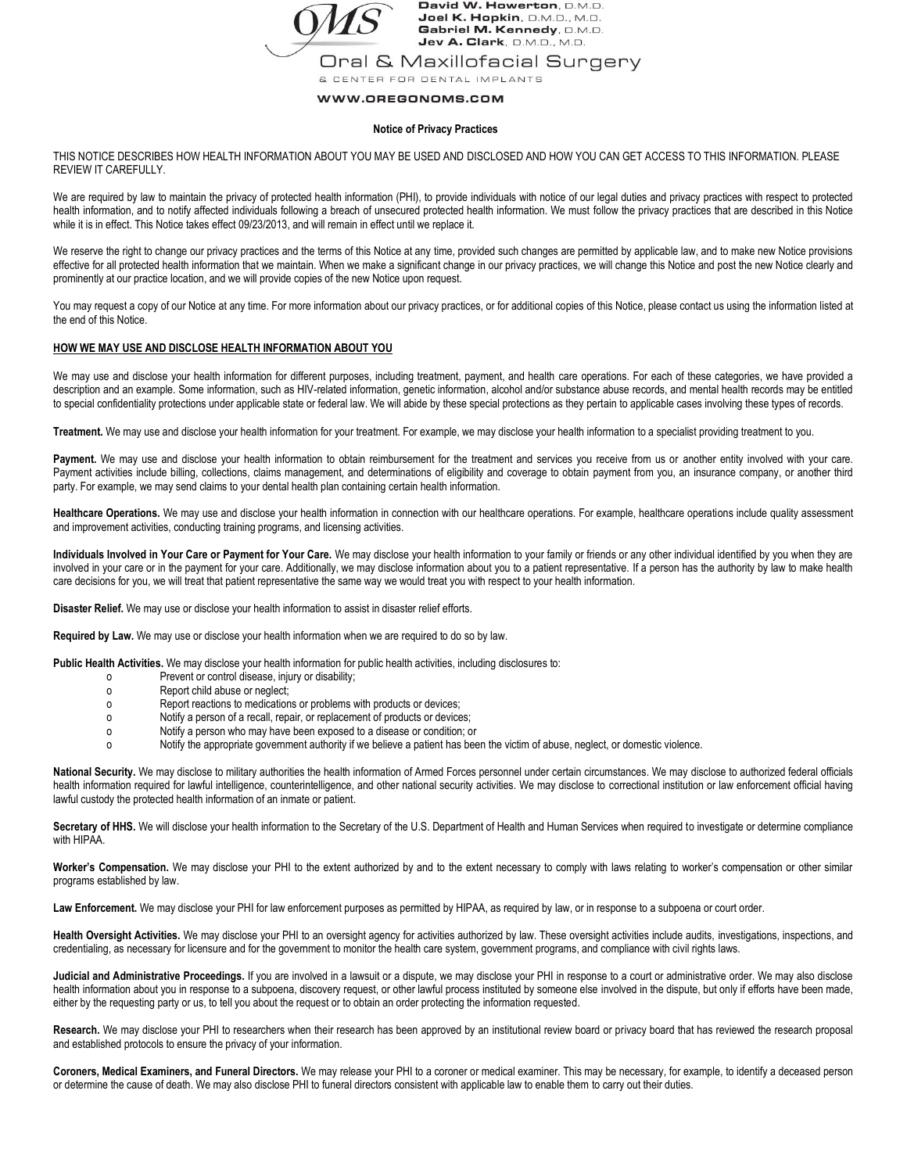

David W. Howerton, D.M.D. Joel K. Hopkin, D.M.D., M.D. Gabriel M. Kennedy, D.M.D. Jev A. Clark, D.M.D., M.D.

Oral & Maxillofacial Surgery

& CENTER FOR DENTAL IMPLANTS

# WWW.OREGONOMS.COM

# **Notice of Privacy Practices**

THIS NOTICE DESCRIBES HOW HEALTH INFORMATION ABOUT YOU MAY BE USED AND DISCLOSED AND HOW YOU CAN GET ACCESS TO THIS INFORMATION. PLEASE REVIEW IT CAREFULLY.

We are required by law to maintain the privacy of protected health information (PHI), to provide individuals with notice of our legal duties and privacy practices with respect to protected health information, and to notify affected individuals following a breach of unsecured protected health information. We must follow the privacy practices that are described in this Notice while it is in effect. This Notice takes effect 09/23/2013, and will remain in effect until we replace it.

We reserve the right to change our privacy practices and the terms of this Notice at any time, provided such changes are permitted by applicable law, and to make new Notice provisions effective for all protected health information that we maintain. When we make a significant change in our privacy practices, we will change this Notice and post the new Notice clearly and prominently at our practice location, and we will provide copies of the new Notice upon request.

You may request a copy of our Notice at any time. For more information about our privacy practices, or for additional copies of this Notice, please contact us using the information listed at the end of this Notice.

# **HOW WE MAY USE AND DISCLOSE HEALTH INFORMATION ABOUT YOU**

We may use and disclose your health information for different purposes, including treatment, payment, and health care operations. For each of these categories, we have provided a description and an example. Some information, such as HIV-related information, genetic information, alcohol and/or substance abuse records, and mental health records may be entitled to special confidentiality protections under applicable state or federal law. We will abide by these special protections as they pertain to applicable cases involving these types of records.

**Treatment.** We may use and disclose your health information for your treatment. For example, we may disclose your health information to a specialist providing treatment to you.

Payment. We may use and disclose your health information to obtain reimbursement for the treatment and services you receive from us or another entity involved with your care. Payment activities include billing, collections, claims management, and determinations of eligibility and coverage to obtain payment from you, an insurance company, or another third party. For example, we may send claims to your dental health plan containing certain health information.

Healthcare Operations. We may use and disclose your health information in connection with our healthcare operations. For example, healthcare operations include quality assessment and improvement activities, conducting training programs, and licensing activities.

**Individuals Involved in Your Care or Payment for Your Care.** We may disclose your health information to your family or friends or any other individual identified by you when they are involved in your care or in the payment for your care. Additionally, we may disclose information about you to a patient representative. If a person has the authority by law to make health care decisions for you, we will treat that patient representative the same way we would treat you with respect to your health information.

**Disaster Relief.** We may use or disclose your health information to assist in disaster relief efforts.

**Required by Law.** We may use or disclose your health information when we are required to do so by law.

**Public Health Activities.** We may disclose your health information for public health activities, including disclosures to:

- o Prevent or control disease, injury or disability;
- o Report child abuse or neglect;
- o Report reactions to medications or problems with products or devices;
- o Notify a person of a recall, repair, or replacement of products or devices;
- o Notify a person who may have been exposed to a disease or condition; or
- o Notify the appropriate government authority if we believe a patient has been the victim of abuse, neglect, or domestic violence.

**National Security.** We may disclose to military authorities the health information of Armed Forces personnel under certain circumstances. We may disclose to authorized federal officials health information required for lawful intelligence, counterintelligence, and other national security activities. We may disclose to correctional institution or law enforcement official having lawful custody the protected health information of an inmate or patient.

Secretary of HHS. We will disclose your health information to the Secretary of the U.S. Department of Health and Human Services when required to investigate or determine compliance with HIPAA.

**Worker's Compensation.** We may disclose your PHI to the extent authorized by and to the extent necessary to comply with laws relating to worker's compensation or other similar programs established by law.

Law Enforcement. We may disclose your PHI for law enforcement purposes as permitted by HIPAA, as required by law, or in response to a subpoena or court order.

**Health Oversight Activities.** We may disclose your PHI to an oversight agency for activities authorized by law. These oversight activities include audits, investigations, inspections, and credentialing, as necessary for licensure and for the government to monitor the health care system, government programs, and compliance with civil rights laws.

Judicial and Administrative Proceedings. If you are involved in a lawsuit or a dispute, we may disclose your PHI in response to a court or administrative order. We may also disclose health information about you in response to a subpoena, discovery request, or other lawful process instituted by someone else involved in the dispute, but only if efforts have been made, either by the requesting party or us, to tell you about the request or to obtain an order protecting the information requested.

Research. We may disclose your PHI to researchers when their research has been approved by an institutional review board or privacy board that has reviewed the research proposal and established protocols to ensure the privacy of your information.

Coroners, Medical Examiners, and Funeral Directors. We may release your PHI to a coroner or medical examiner. This may be necessary, for example, to identify a deceased person or determine the cause of death. We may also disclose PHI to funeral directors consistent with applicable law to enable them to carry out their duties.